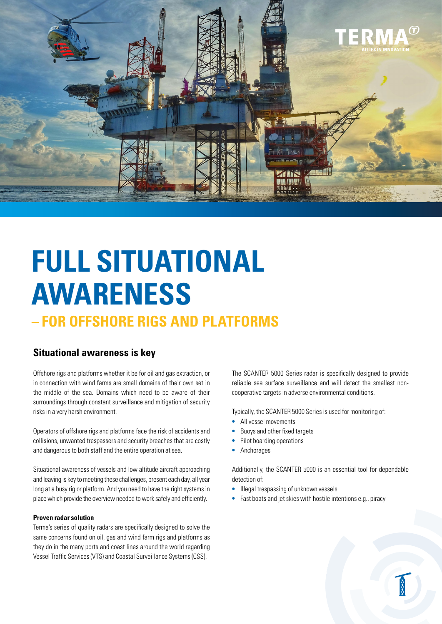

# **FULL SITUATIONAL AWARENESS**

# **– FOR OFFSHORE RIGS AND PLATFORMS**

### **Situational awareness is key**

Offshore rigs and platforms whether it be for oil and gas extraction, or in connection with wind farms are small domains of their own set in the middle of the sea. Domains which need to be aware of their surroundings through constant surveillance and mitigation of security risks in a very harsh environment.

Operators of offshore rigs and platforms face the risk of accidents and collisions, unwanted trespassers and security breaches that are costly and dangerous to both staff and the entire operation at sea.

Situational awareness of vessels and low altitude aircraft approaching and leaving is key to meeting these challenges, present each day, all year long at a busy rig or platform. And you need to have the right systems in place which provide the overview needed to work safely and efficiently.

#### **Proven radar solution**

Terma's series of quality radars are specifically designed to solve the same concerns found on oil, gas and wind farm rigs and platforms as they do in the many ports and coast lines around the world regarding Vessel Traffic Services (VTS) and Coastal Surveillance Systems (CSS).

The SCANTER 5000 Series radar is specifically designed to provide reliable sea surface surveillance and will detect the smallest noncooperative targets in adverse environmental conditions.

Typically, the SCANTER 5000 Series is used for monitoring of:

- **•** All vessel movements
- **•** Buoys and other fixed targets
- **•** Pilot boarding operations
- **•** Anchorages

Additionally, the SCANTER 5000 is an essential tool for dependable detection of:

- **•** Illegal trespassing of unknown vessels
- **•** Fast boats and jet skies with hostile intentions e.g., piracy